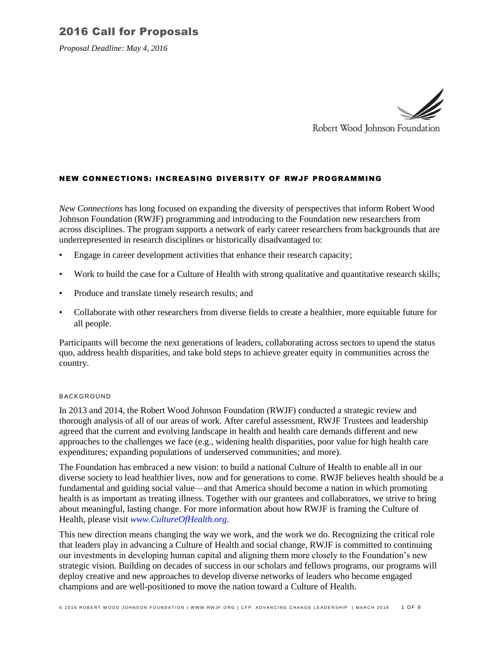*Proposal Deadline: May 4, 2016*



### NEW CONNECTIONS: INCREASING DIVERSITY OF RWJF PROGRAMMING

*New Connections* has long focused on expanding the diversity of perspectives that inform Robert Wood Johnson Foundation (RWJF) programming and introducing to the Foundation new researchers from across disciplines. The program supports a network of early career researchers from backgrounds that are underrepresented in research disciplines or historically disadvantaged to:

- Engage in career development activities that enhance their research capacity;
- Work to build the case for a Culture of Health with strong qualitative and quantitative research skills;
- Produce and translate timely research results; and
- Collaborate with other researchers from diverse fields to create a healthier, more equitable future for all people.

Participants will become the next generations of leaders, collaborating across sectors to upend the status quo, address health disparities, and take bold steps to achieve greater equity in communities across the country.

#### BACKGROUND

In 2013 and 2014, the Robert Wood Johnson Foundation (RWJF) conducted a strategic review and thorough analysis of all of our areas of work. After careful assessment, RWJF Trustees and leadership agreed that the current and evolving landscape in health and health care demands different and new approaches to the challenges we face (e.g., widening health disparities, poor value for high health care expenditures; expanding populations of underserved communities; and more).

The Foundation has embraced a new vision: to build a national Culture of Health to enable all in our diverse society to lead healthier lives, now and for generations to come. RWJF believes health should be a fundamental and guiding social value—and that America should become a nation in which promoting health is as important as treating illness. Together with our grantees and collaborators, we strive to bring about meaningful, lasting change. For more information about how RWJF is framing the Culture of Health, please visit *www.CultureOfHealth.org.*

This new direction means changing the way we work, and the work we do. Recognizing the critical role that leaders play in advancing a Culture of Health and social change, RWJF is committed to continuing our investments in developing human capital and aligning them more closely to the Foundation's new strategic vision. Building on decades of success in our scholars and fellows programs, our programs will deploy creative and new approaches to develop diverse networks of leaders who become engaged champions and are well-positioned to move the nation toward a Culture of Health.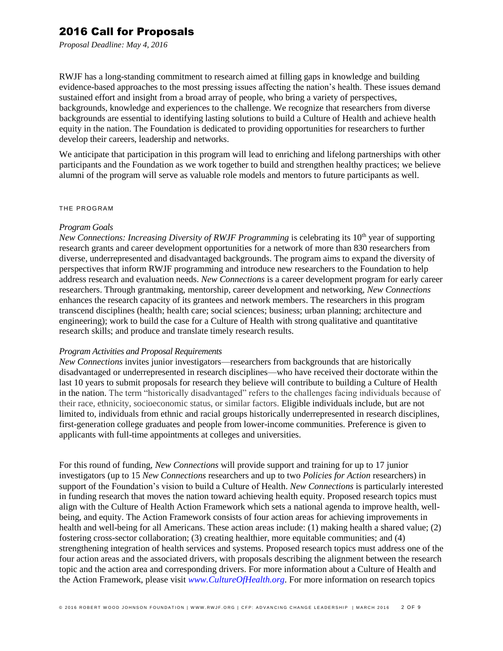*Proposal Deadline: May 4, 2016*

RWJF has a long-standing commitment to research aimed at filling gaps in knowledge and building evidence-based approaches to the most pressing issues affecting the nation's health. These issues demand sustained effort and insight from a broad array of people, who bring a variety of perspectives, backgrounds, knowledge and experiences to the challenge. We recognize that researchers from diverse backgrounds are essential to identifying lasting solutions to build a Culture of Health and achieve health equity in the nation. The Foundation is dedicated to providing opportunities for researchers to further develop their careers, leadership and networks.

We anticipate that participation in this program will lead to enriching and lifelong partnerships with other participants and the Foundation as we work together to build and strengthen healthy practices; we believe alumni of the program will serve as valuable role models and mentors to future participants as well.

#### THE PROGRAM

### *Program Goals*

*New Connections: Increasing Diversity of RWJF Programming* is celebrating its 10<sup>th</sup> year of supporting research grants and career development opportunities for a network of more than 830 researchers from diverse, underrepresented and disadvantaged backgrounds. The program aims to expand the diversity of perspectives that inform RWJF programming and introduce new researchers to the Foundation to help address research and evaluation needs. *New Connections* is a career development program for early career researchers. Through grantmaking, mentorship, career development and networking, *New Connections* enhances the research capacity of its grantees and network members. The researchers in this program transcend disciplines (health; health care; social sciences; business; urban planning; architecture and engineering); work to build the case for a Culture of Health with strong qualitative and quantitative research skills; and produce and translate timely research results.

#### *Program Activities and Proposal Requirements*

*New Connections* invites junior investigators—researchers from backgrounds that are historically disadvantaged or underrepresented in research disciplines—who have received their doctorate within the last 10 years to submit proposals for research they believe will contribute to building a Culture of Health in the nation. The term "historically disadvantaged" refers to the challenges facing individuals because of their race, ethnicity, socioeconomic status, or similar factors. Eligible individuals include, but are not limited to, individuals from ethnic and racial groups historically underrepresented in research disciplines, first-generation college graduates and people from lower-income communities. Preference is given to applicants with full-time appointments at colleges and universities.

For this round of funding, *New Connections* will provide support and training for up to 17 junior investigators (up to 15 *New Connections* researchers and up to two *Policies for Action* researchers) in support of the Foundation's vision to build a Culture of Health. *New Connections* is particularly interested in funding research that moves the nation toward achieving health equity. Proposed research topics must align with the Culture of Health Action Framework which sets a national agenda to improve health, wellbeing, and equity. The Action Framework consists of four action areas for achieving improvements in health and well-being for all Americans. These action areas include: (1) making health a shared value; (2) fostering cross-sector collaboration; (3) creating healthier, more equitable communities; and (4) strengthening integration of health services and systems. Proposed research topics must address one of the four action areas and the associated drivers, with proposals describing the alignment between the research topic and the action area and corresponding drivers. For more information about a Culture of Health and the Action Framework, please visit *www.CultureOfHealth.org*. For more information on research topics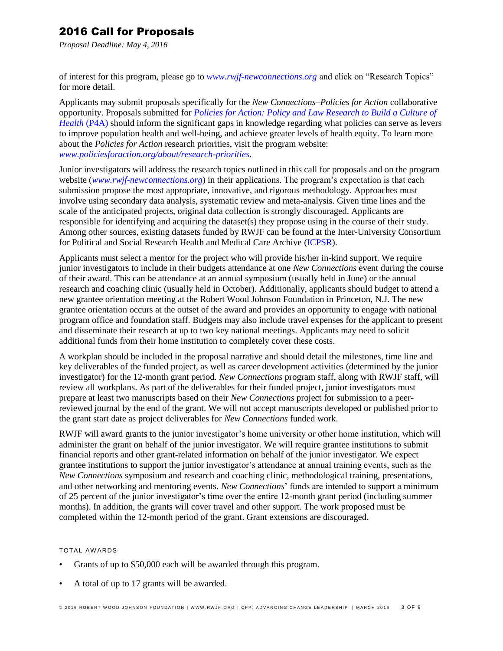*Proposal Deadline: May 4, 2016*

of interest for this program, please go to *[www.rwjf-newconnections.org](file:///C:/Users/lcuccia/Documents/CFPs_RFPs/www.rwjf-newconnections.org)* and click on "Research Topics" for more detail.

Applicants may submit proposals specifically for the *New Connections–Policies for Action* collaborative opportunity. Proposals submitted for *[Policies for Action: Policy and Law Research to Build a Culture of](http://www.policiesforaction.org/)  Health* (P4A) should inform the significant gaps in knowledge regarding what policies can serve as levers to improve population health and well-being, and achieve greater levels of health equity. To learn more about the *Policies for Action* research priorities, visit the program website: *[www.policiesforaction.org/about/research-priorities.](file:///C:/Users/lcuccia/Documents/CFPs_RFPs/www.policiesforaction.org/about/research-priorities)*

Junior investigators will address the research topics outlined in this call for proposals and on the program website (*www.rwjf-newconnections.org*) in their applications. The program's expectation is that each submission propose the most appropriate, innovative, and rigorous methodology. Approaches must involve using secondary data analysis, systematic review and meta-analysis. Given time lines and the scale of the anticipated projects, original data collection is strongly discouraged. Applicants are responsible for identifying and acquiring the dataset(s) they propose using in the course of their study. Among other sources, existing datasets funded by RWJF can be found at the Inter-University Consortium for Political and Social Research Health and Medical Care Archive [\(ICPSR\)](https://www.icpsr.umich.edu/icpsrweb/landing.jsp).

Applicants must select a mentor for the project who will provide his/her in-kind support. We require junior investigators to include in their budgets attendance at one *New Connections* event during the course of their award. This can be attendance at an annual symposium (usually held in June) or the annual research and coaching clinic (usually held in October). Additionally, applicants should budget to attend a new grantee orientation meeting at the Robert Wood Johnson Foundation in Princeton, N.J. The new grantee orientation occurs at the outset of the award and provides an opportunity to engage with national program office and foundation staff. Budgets may also include travel expenses for the applicant to present and disseminate their research at up to two key national meetings. Applicants may need to solicit additional funds from their home institution to completely cover these costs.

A workplan should be included in the proposal narrative and should detail the milestones, time line and key deliverables of the funded project, as well as career development activities (determined by the junior investigator) for the 12-month grant period. *New Connections* program staff, along with RWJF staff, will review all workplans. As part of the deliverables for their funded project, junior investigators must prepare at least two manuscripts based on their *New Connections* project for submission to a peerreviewed journal by the end of the grant. We will not accept manuscripts developed or published prior to the grant start date as project deliverables for *New Connections* funded work.

RWJF will award grants to the junior investigator's home university or other home institution, which will administer the grant on behalf of the junior investigator. We will require grantee institutions to submit financial reports and other grant-related information on behalf of the junior investigator. We expect grantee institutions to support the junior investigator's attendance at annual training events, such as the *New Connections* symposium and research and coaching clinic, methodological training, presentations, and other networking and mentoring events. *New Connections*' funds are intended to support a minimum of 25 percent of the junior investigator's time over the entire 12-month grant period (including summer months). In addition, the grants will cover travel and other support. The work proposed must be completed within the 12-month period of the grant. Grant extensions are discouraged.

### TOTAL AW ARDS

- Grants of up to \$50,000 each will be awarded through this program.
- A total of up to 17 grants will be awarded.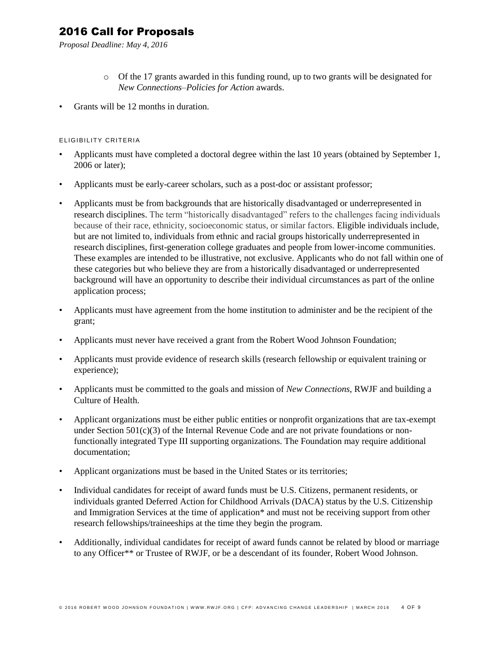*Proposal Deadline: May 4, 2016*

- o Of the 17 grants awarded in this funding round, up to two grants will be designated for *New Connections–Policies for Action* awards.
- Grants will be 12 months in duration.

## ELIGIBILITY CRITERIA

- Applicants must have completed a doctoral degree within the last 10 years (obtained by September 1, 2006 or later);
- Applicants must be early-career scholars, such as a post-doc or assistant professor;
- Applicants must be from backgrounds that are historically disadvantaged or underrepresented in research disciplines. The term "historically disadvantaged" refers to the challenges facing individuals because of their race, ethnicity, socioeconomic status, or similar factors. Eligible individuals include, but are not limited to, individuals from ethnic and racial groups historically underrepresented in research disciplines, first-generation college graduates and people from lower-income communities. These examples are intended to be illustrative, not exclusive. Applicants who do not fall within one of these categories but who believe they are from a historically disadvantaged or underrepresented background will have an opportunity to describe their individual circumstances as part of the online application process;
- Applicants must have agreement from the home institution to administer and be the recipient of the grant;
- Applicants must never have received a grant from the Robert Wood Johnson Foundation;
- Applicants must provide evidence of research skills (research fellowship or equivalent training or experience);
- Applicants must be committed to the goals and mission of *New Connections*, RWJF and building a Culture of Health.
- Applicant organizations must be either public entities or nonprofit organizations that are tax-exempt under Section  $501(c)(3)$  of the Internal Revenue Code and are not private foundations or nonfunctionally integrated Type III supporting organizations. The Foundation may require additional documentation;
- Applicant organizations must be based in the United States or its territories;
- Individual candidates for receipt of award funds must be U.S. Citizens, permanent residents, or individuals granted Deferred Action for Childhood Arrivals (DACA) status by the U.S. Citizenship and Immigration Services at the time of application\* and must not be receiving support from other research fellowships/traineeships at the time they begin the program.
- Additionally, individual candidates for receipt of award funds cannot be related by blood or marriage to any Officer\*\* or Trustee of RWJF, or be a descendant of its founder, Robert Wood Johnson.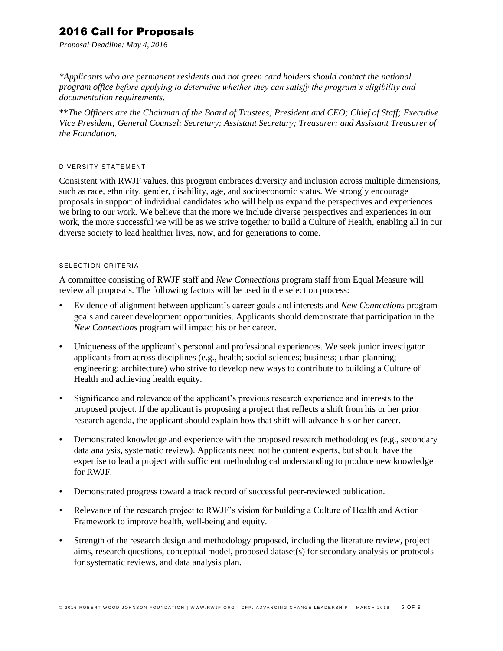*Proposal Deadline: May 4, 2016*

*\*Applicants who are permanent residents and not green card holders should contact the national program office before applying to determine whether they can satisfy the program's eligibility and documentation requirements.*

\*\**The Officers are the Chairman of the Board of Trustees; President and CEO; Chief of Staff; Executive Vice President; General Counsel; Secretary; Assistant Secretary; Treasurer; and Assistant Treasurer of the Foundation.*

### DIVERSITY STATEMENT

Consistent with RWJF values, this program embraces diversity and inclusion across multiple dimensions, such as race, ethnicity, gender, disability, age, and socioeconomic status. We strongly encourage proposals in support of individual candidates who will help us expand the perspectives and experiences we bring to our work. We believe that the more we include diverse perspectives and experiences in our work, the more successful we will be as we strive together to build a Culture of Health, enabling all in our diverse society to lead healthier lives, now, and for generations to come.

#### SELECTION CRITERIA

A committee consisting of RWJF staff and *New Connections* program staff from Equal Measure will review all proposals. The following factors will be used in the selection process:

- Evidence of alignment between applicant's career goals and interests and *New Connections* program goals and career development opportunities. Applicants should demonstrate that participation in the *New Connections* program will impact his or her career.
- Uniqueness of the applicant's personal and professional experiences. We seek junior investigator applicants from across disciplines (e.g., health; social sciences; business; urban planning; engineering; architecture) who strive to develop new ways to contribute to building a Culture of Health and achieving health equity.
- Significance and relevance of the applicant's previous research experience and interests to the proposed project. If the applicant is proposing a project that reflects a shift from his or her prior research agenda, the applicant should explain how that shift will advance his or her career.
- Demonstrated knowledge and experience with the proposed research methodologies (e.g., secondary data analysis, systematic review). Applicants need not be content experts, but should have the expertise to lead a project with sufficient methodological understanding to produce new knowledge for RWJF.
- Demonstrated progress toward a track record of successful peer-reviewed publication.
- Relevance of the research project to RWJF's vision for building a Culture of Health and Action Framework to improve health, well-being and equity.
- Strength of the research design and methodology proposed, including the literature review, project aims, research questions, conceptual model, proposed dataset(s) for secondary analysis or protocols for systematic reviews, and data analysis plan.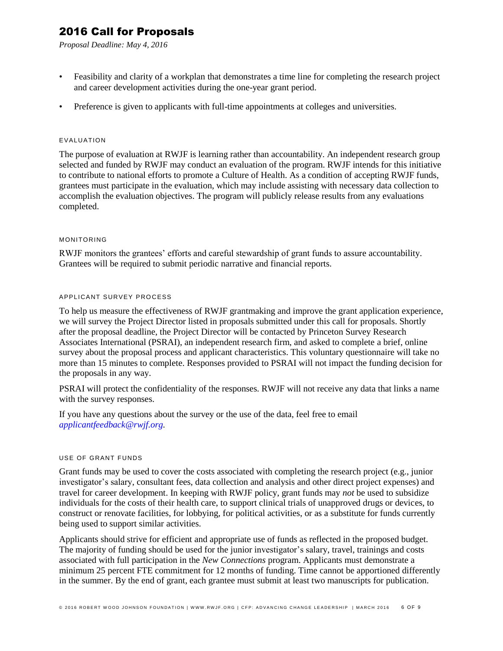*Proposal Deadline: May 4, 2016*

- Feasibility and clarity of a workplan that demonstrates a time line for completing the research project and career development activities during the one-year grant period.
- Preference is given to applicants with full-time appointments at colleges and universities.

#### EVALUATION

The purpose of evaluation at RWJF is learning rather than accountability. An independent research group selected and funded by RWJF may conduct an evaluation of the program. RWJF intends for this initiative to contribute to national efforts to promote a Culture of Health. As a condition of accepting RWJF funds, grantees must participate in the evaluation, which may include assisting with necessary data collection to accomplish the evaluation objectives. The program will publicly release results from any evaluations completed.

### MONITORING

RWJF monitors the grantees' efforts and careful stewardship of grant funds to assure accountability. Grantees will be required to submit periodic narrative and financial reports.

### APPLICANT SURVEY PROCESS

To help us measure the effectiveness of RWJF grantmaking and improve the grant application experience, we will survey the Project Director listed in proposals submitted under this call for proposals. Shortly after the proposal deadline, the Project Director will be contacted by Princeton Survey Research Associates International (PSRAI), an independent research firm, and asked to complete a brief, online survey about the proposal process and applicant characteristics. This voluntary questionnaire will take no more than 15 minutes to complete. Responses provided to PSRAI will not impact the funding decision for the proposals in any way.

PSRAI will protect the confidentiality of the responses. RWJF will not receive any data that links a name with the survey responses.

If you have any questions about the survey or the use of the data, feel free to email *[applicantfeedback@rwjf.org.](mailto:applicantfeedback@rwjf.org)*

#### USE OF GRANT FUNDS

Grant funds may be used to cover the costs associated with completing the research project (e.g., junior investigator's salary, consultant fees, data collection and analysis and other direct project expenses) and travel for career development. In keeping with RWJF policy, grant funds may *not* be used to subsidize individuals for the costs of their health care, to support clinical trials of unapproved drugs or devices, to construct or renovate facilities, for lobbying, for political activities, or as a substitute for funds currently being used to support similar activities.

Applicants should strive for efficient and appropriate use of funds as reflected in the proposed budget. The majority of funding should be used for the junior investigator's salary, travel, trainings and costs associated with full participation in the *New Connections* program. Applicants must demonstrate a minimum 25 percent FTE commitment for 12 months of funding. Time cannot be apportioned differently in the summer. By the end of grant, each grantee must submit at least two manuscripts for publication.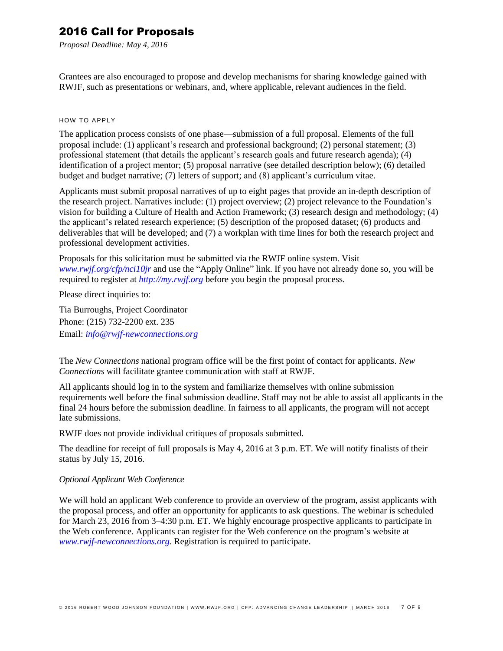*Proposal Deadline: May 4, 2016*

Grantees are also encouraged to propose and develop mechanisms for sharing knowledge gained with RWJF, such as presentations or webinars, and, where applicable, relevant audiences in the field.

### HOW TO APPLY

The application process consists of one phase—submission of a full proposal. Elements of the full proposal include: (1) applicant's research and professional background; (2) personal statement; (3) professional statement (that details the applicant's research goals and future research agenda); (4) identification of a project mentor; (5) proposal narrative (see detailed description below); (6) detailed budget and budget narrative; (7) letters of support; and (8) applicant's curriculum vitae.

Applicants must submit proposal narratives of up to eight pages that provide an in-depth description of the research project. Narratives include: (1) project overview; (2) project relevance to the Foundation's vision for building a Culture of Health and Action Framework; (3) research design and methodology; (4) the applicant's related research experience; (5) description of the proposed dataset; (6) products and deliverables that will be developed; and (7) a workplan with time lines for both the research project and professional development activities.

Proposals for this solicitation must be submitted via the RWJF online system. Visit *[www.rwjf.org/cfp/nci10jr](http://www.rwjf.org/cfp/nci10jr)* and use the "Apply Online" link. If you have not already done so, you will be required to register at *http://my.rwjf.org* before you begin the proposal process.

Please direct inquiries to:

Tia Burroughs, Project Coordinator Phone: (215) 732-2200 ext. 235 Email: *[info@rwjf-newconnections.org](mailto:info@rwjf-newconnections.org)*

The *New Connections* national program office will be the first point of contact for applicants. *New Connections* will facilitate grantee communication with staff at RWJF.

All applicants should log in to the system and familiarize themselves with online submission requirements well before the final submission deadline. Staff may not be able to assist all applicants in the final 24 hours before the submission deadline. In fairness to all applicants, the program will not accept late submissions.

RWJF does not provide individual critiques of proposals submitted.

The deadline for receipt of full proposals is May 4, 2016 at 3 p.m. ET. We will notify finalists of their status by July 15, 2016.

### *Optional Applicant Web Conference*

We will hold an applicant Web conference to provide an overview of the program, assist applicants with the proposal process, and offer an opportunity for applicants to ask questions. The webinar is scheduled for March 23, 2016 from 3–4:30 p.m. ET. We highly encourage prospective applicants to participate in the Web conference. Applicants can register for the Web conference on the program's website at *[www.rwjf-newconnections.org](http://www.rwjf-newconnections.org/)*. Registration is required to participate.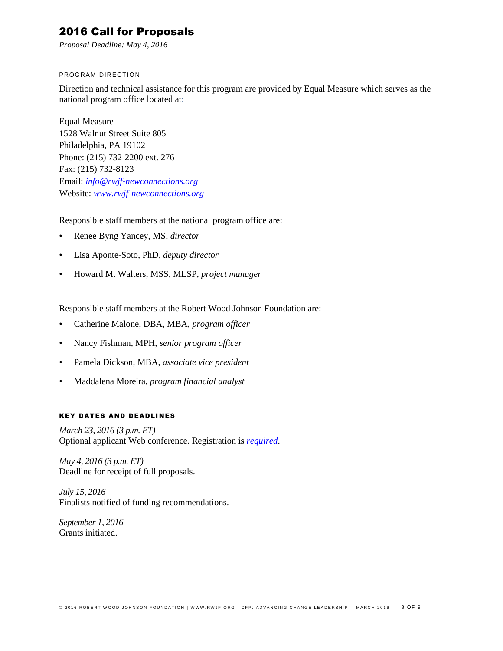*Proposal Deadline: May 4, 2016*

### PROGRAM DIRECTION

Direction and technical assistance for this program are provided by Equal Measure which serves as the national program office located at:

Equal Measure 1528 Walnut Street Suite 805 Philadelphia, PA 19102 Phone: (215) 732-2200 ext. 276 Fax: (215) 732-8123 Email: *[info@rwjf-newconnections.org](mailto:info@rwjf-newconnections.org)* Website: *[www.rwjf-newconnections.org](http://www.rwjf-newconnections.org/)*

Responsible staff members at the national program office are:

- Renee Byng Yancey, MS, *director*
- Lisa Aponte-Soto, PhD, *deputy director*
- Howard M. Walters, MSS, MLSP, *project manager*

Responsible staff members at the Robert Wood Johnson Foundation are:

- Catherine Malone, DBA, MBA, *program officer*
- Nancy Fishman, MPH, *senior program officer*
- Pamela Dickson, MBA, *associate vice president*
- Maddalena Moreira, *program financial analyst*

### **KEY DATES AND DEADLINES**

*March 23, 2016 (3 p.m. ET)* Optional applicant Web conference. Registration is *[required](https://cc.readytalk.com/r/prv5itqwkwip&eom)*.

*May 4, 2016 (3 p.m. ET)* Deadline for receipt of full proposals.

*July 15, 2016* Finalists notified of funding recommendations.

*September 1, 2016* Grants initiated.